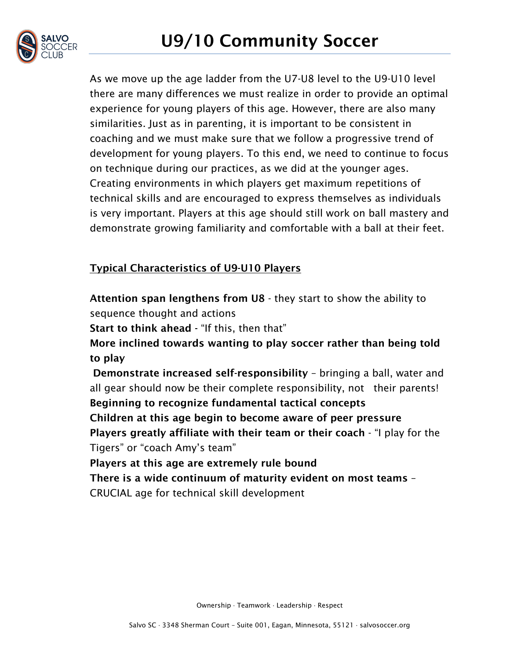

As we move up the age ladder from the U7-U8 level to the U9-U10 level there are many differences we must realize in order to provide an optimal experience for young players of this age. However, there are also many similarities. Just as in parenting, it is important to be consistent in coaching and we must make sure that we follow a progressive trend of development for young players. To this end, we need to continue to focus on technique during our practices, as we did at the younger ages. Creating environments in which players get maximum repetitions of technical skills and are encouraged to express themselves as individuals is very important. Players at this age should still work on ball mastery and demonstrate growing familiarity and comfortable with a ball at their feet.

## Typical Characteristics of U9-U10 Players

Attention span lengthens from U8 - they start to show the ability to sequence thought and actions

Start to think ahead - "If this, then that"

More inclined towards wanting to play soccer rather than being told to play

Demonstrate increased self-responsibility – bringing a ball, water and all gear should now be their complete responsibility, not their parents! Beginning to recognize fundamental tactical concepts Children at this age begin to become aware of peer pressure Players greatly affiliate with their team or their coach - "I play for the Tigers" or "coach Amy's team"

Players at this age are extremely rule bound

There is a wide continuum of maturity evident on most teams – CRUCIAL age for technical skill development